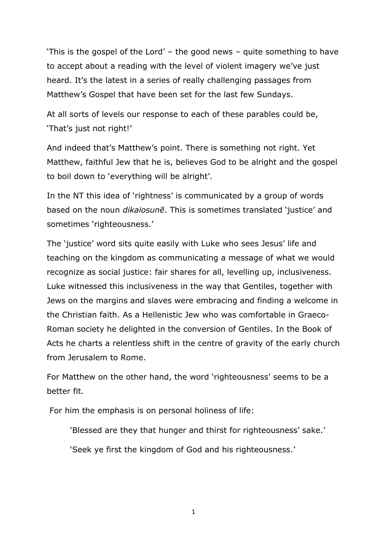'This is the gospel of the Lord' – the good news – quite something to have to accept about a reading with the level of violent imagery we've just heard. It's the latest in a series of really challenging passages from Matthew's Gospel that have been set for the last few Sundays.

At all sorts of levels our response to each of these parables could be, 'That's just not right!'

And indeed that's Matthew's point. There is something not right. Yet Matthew, faithful Jew that he is, believes God to be alright and the gospel to boil down to 'everything will be alright'.

In the NT this idea of 'rightness' is communicated by a group of words based on the noun *dikaiosunē*. This is sometimes translated 'justice' and sometimes 'righteousness.'

The 'justice' word sits quite easily with Luke who sees Jesus' life and teaching on the kingdom as communicating a message of what we would recognize as social justice: fair shares for all, levelling up, inclusiveness. Luke witnessed this inclusiveness in the way that Gentiles, together with Jews on the margins and slaves were embracing and finding a welcome in the Christian faith. As a Hellenistic Jew who was comfortable in Graeco-Roman society he delighted in the conversion of Gentiles. In the Book of Acts he charts a relentless shift in the centre of gravity of the early church from Jerusalem to Rome.

For Matthew on the other hand, the word 'righteousness' seems to be a better fit*.* 

For him the emphasis is on personal holiness of life:

'Blessed are they that hunger and thirst for righteousness' sake.'

'Seek ye first the kingdom of God and his righteousness.'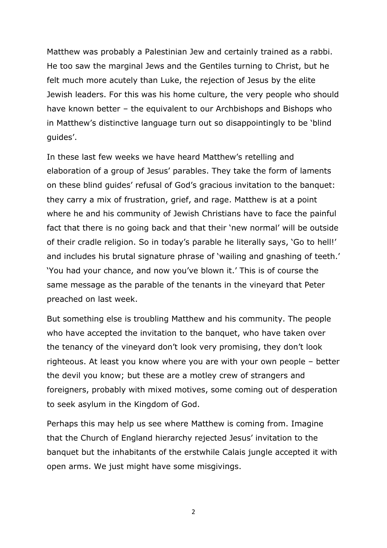Matthew was probably a Palestinian Jew and certainly trained as a rabbi. He too saw the marginal Jews and the Gentiles turning to Christ, but he felt much more acutely than Luke, the rejection of Jesus by the elite Jewish leaders. For this was his home culture, the very people who should have known better – the equivalent to our Archbishops and Bishops who in Matthew's distinctive language turn out so disappointingly to be 'blind guides'.

In these last few weeks we have heard Matthew's retelling and elaboration of a group of Jesus' parables. They take the form of laments on these blind guides' refusal of God's gracious invitation to the banquet: they carry a mix of frustration, grief, and rage. Matthew is at a point where he and his community of Jewish Christians have to face the painful fact that there is no going back and that their 'new normal' will be outside of their cradle religion. So in today's parable he literally says, 'Go to hell!' and includes his brutal signature phrase of 'wailing and gnashing of teeth.' 'You had your chance, and now you've blown it.' This is of course the same message as the parable of the tenants in the vineyard that Peter preached on last week.

But something else is troubling Matthew and his community. The people who have accepted the invitation to the banquet, who have taken over the tenancy of the vineyard don't look very promising, they don't look righteous. At least you know where you are with your own people – better the devil you know; but these are a motley crew of strangers and foreigners, probably with mixed motives, some coming out of desperation to seek asylum in the Kingdom of God.

Perhaps this may help us see where Matthew is coming from. Imagine that the Church of England hierarchy rejected Jesus' invitation to the banquet but the inhabitants of the erstwhile Calais jungle accepted it with open arms. We just might have some misgivings.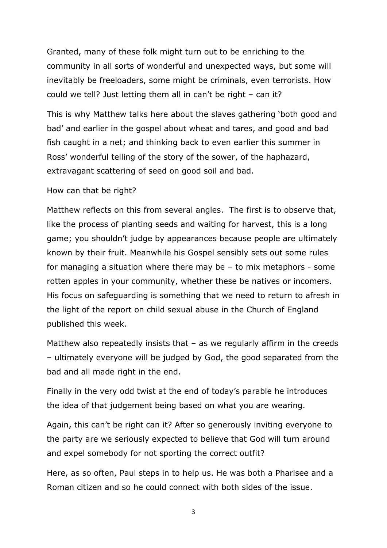Granted, many of these folk might turn out to be enriching to the community in all sorts of wonderful and unexpected ways, but some will inevitably be freeloaders, some might be criminals, even terrorists. How could we tell? Just letting them all in can't be right – can it?

This is why Matthew talks here about the slaves gathering 'both good and bad' and earlier in the gospel about wheat and tares, and good and bad fish caught in a net; and thinking back to even earlier this summer in Ross' wonderful telling of the story of the sower, of the haphazard, extravagant scattering of seed on good soil and bad.

## How can that be right?

Matthew reflects on this from several angles. The first is to observe that, like the process of planting seeds and waiting for harvest, this is a long game; you shouldn't judge by appearances because people are ultimately known by their fruit. Meanwhile his Gospel sensibly sets out some rules for managing a situation where there may be – to mix metaphors - some rotten apples in your community, whether these be natives or incomers. His focus on safeguarding is something that we need to return to afresh in the light of the report on child sexual abuse in the Church of England published this week.

Matthew also repeatedly insists that  $-$  as we regularly affirm in the creeds – ultimately everyone will be judged by God, the good separated from the bad and all made right in the end.

Finally in the very odd twist at the end of today's parable he introduces the idea of that judgement being based on what you are wearing.

Again, this can't be right can it? After so generously inviting everyone to the party are we seriously expected to believe that God will turn around and expel somebody for not sporting the correct outfit?

Here, as so often, Paul steps in to help us. He was both a Pharisee and a Roman citizen and so he could connect with both sides of the issue.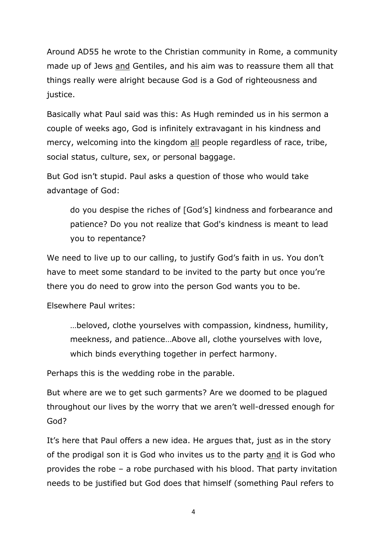Around AD55 he wrote to the Christian community in Rome, a community made up of Jews and Gentiles, and his aim was to reassure them all that things really were alright because God is a God of righteousness and justice.

Basically what Paul said was this: As Hugh reminded us in his sermon a couple of weeks ago, God is infinitely extravagant in his kindness and mercy, welcoming into the kingdom all people regardless of race, tribe, social status, culture, sex, or personal baggage.

But God isn't stupid. Paul asks a question of those who would take advantage of God:

do you despise the riches of [God's] kindness and forbearance and patience? Do you not realize that God's kindness is meant to lead you to repentance?

We need to live up to our calling, to justify God's faith in us. You don't have to meet some standard to be invited to the party but once you're there you do need to grow into the person God wants you to be.

Elsewhere Paul writes:

…beloved, clothe yourselves with compassion, kindness, humility, meekness, and patience…Above all, clothe yourselves with love, which binds everything together in perfect harmony.

Perhaps this is the wedding robe in the parable.

But where are we to get such garments? Are we doomed to be plagued throughout our lives by the worry that we aren't well-dressed enough for God?

It's here that Paul offers a new idea. He argues that, just as in the story of the prodigal son it is God who invites us to the party and it is God who provides the robe – a robe purchased with his blood. That party invitation needs to be justified but God does that himself (something Paul refers to